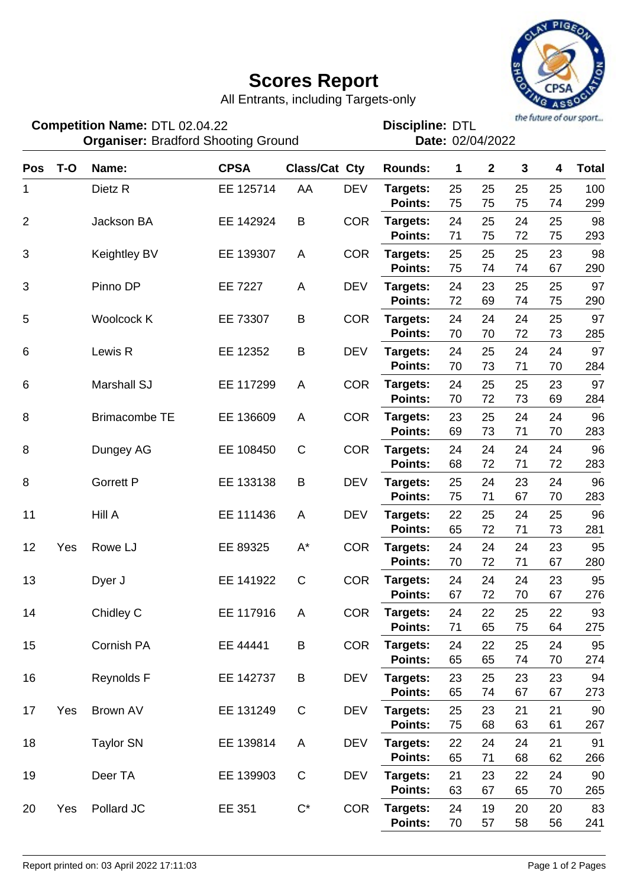## **Scores Report**



All Entrants, including Targets-only

DTL 02.04.22 DTL **Discipline: Organiser: Bradford Shooting Ground Case Control Cate: 02/04/2022 Competition Name:**

| <b>Pos</b>     | $T-O$ | Name:                | <b>CPSA</b> | <b>Class/Cat Cty</b> |            | <b>Rounds:</b>             | 1        | $\mathbf{2}$ | $\mathbf{3}$ | 4        | <b>Total</b> |
|----------------|-------|----------------------|-------------|----------------------|------------|----------------------------|----------|--------------|--------------|----------|--------------|
| 1              |       | Dietz <sub>R</sub>   | EE 125714   | AA                   | <b>DEV</b> | Targets:                   | 25       | 25           | 25           | 25       | 100          |
|                |       |                      |             |                      |            | <b>Points:</b>             | 75       | 75           | 75           | 74       | 299          |
| $\overline{2}$ |       | Jackson BA           | EE 142924   | B                    | <b>COR</b> | Targets:                   | 24       | 25           | 24           | 25       | 98           |
|                |       |                      |             |                      |            | <b>Points:</b>             | 71       | 75           | 72           | 75       | 293          |
| 3              |       | Keightley BV         | EE 139307   | A                    | <b>COR</b> | Targets:                   | 25       | 25           | 25           | 23       | 98           |
|                |       |                      |             |                      |            | <b>Points:</b>             | 75       | 74           | 74           | 67       | 290          |
| 3              |       | Pinno DP             | EE 7227     | A                    | <b>DEV</b> | Targets:                   | 24       | 23           | 25           | 25       | 97           |
|                |       |                      |             |                      |            | <b>Points:</b>             | 72       | 69           | 74           | 75       | 290          |
| 5              |       | Woolcock K           | EE 73307    | B                    | <b>COR</b> | Targets:                   | 24       | 24           | 24           | 25       | 97           |
|                |       |                      |             |                      |            | Points:                    | 70       | 70           | 72           | 73       | 285          |
| 6              |       | Lewis R              | EE 12352    | B                    | <b>DEV</b> | Targets:                   | 24       | 25           | 24           | 24       | 97           |
|                |       |                      |             |                      |            | <b>Points:</b>             | 70       | 73           | 71           | 70       | 284          |
| 6              |       | Marshall SJ          | EE 117299   | A                    | <b>COR</b> | Targets:                   | 24<br>70 | 25<br>72     | 25<br>73     | 23<br>69 | 97           |
|                |       |                      |             |                      |            | <b>Points:</b>             |          |              |              |          | 284          |
| 8              |       | <b>Brimacombe TE</b> | EE 136609   | A                    | <b>COR</b> | Targets:<br>Points:        | 23<br>69 | 25<br>73     | 24<br>71     | 24<br>70 | 96<br>283    |
|                |       |                      |             |                      |            |                            |          |              |              |          |              |
| 8              |       | Dungey AG            | EE 108450   | $\mathsf C$          | <b>COR</b> | Targets:<br><b>Points:</b> | 24<br>68 | 24<br>72     | 24<br>71     | 24<br>72 | 96<br>283    |
|                |       |                      |             |                      |            |                            |          |              |              |          |              |
| 8              |       | <b>Gorrett P</b>     | EE 133138   | B                    | <b>DEV</b> | Targets:<br><b>Points:</b> | 25<br>75 | 24<br>71     | 23<br>67     | 24<br>70 | 96<br>283    |
| 11             |       | Hill A               | EE 111436   | A                    | <b>DEV</b> | Targets:                   | 22       | 25           | 24           | 25       | 96           |
|                |       |                      |             |                      |            | <b>Points:</b>             | 65       | 72           | 71           | 73       | 281          |
| 12             | Yes   | Rowe LJ              | EE 89325    | $\mathsf{A}^\star$   | <b>COR</b> | Targets:                   | 24       | 24           | 24           | 23       | 95           |
|                |       |                      |             |                      |            | <b>Points:</b>             | 70       | 72           | 71           | 67       | 280          |
| 13             |       | Dyer J               | EE 141922   | $\mathsf C$          | <b>COR</b> | Targets:                   | 24       | 24           | 24           | 23       | 95           |
|                |       |                      |             |                      |            | <b>Points:</b>             | 67       | 72           | 70           | 67       | 276          |
| 14             |       | Chidley C            | EE 117916   | A                    | <b>COR</b> | Targets:                   | 24       | 22           | 25           | 22       | 93           |
|                |       |                      |             |                      |            | Points:                    | 71       | 65           | 75           | 64       | 275          |
| 15             |       | Cornish PA           | EE 44441    | B                    | <b>COR</b> | Targets:                   | 24       | 22           | 25           | 24       | 95           |
|                |       |                      |             |                      |            | Points:                    | 65       | 65           | 74           | 70       | 274          |
| 16             |       | Reynolds F           | EE 142737   | B                    | <b>DEV</b> | Targets:                   | 23       | 25           | 23           | 23       | 94           |
|                |       |                      |             |                      |            | Points:                    | 65       | 74           | 67           | 67       | 273          |
| 17             | Yes   | Brown AV             | EE 131249   | $\mathbf C$          | <b>DEV</b> | Targets:                   | 25       | 23           | 21           | 21       | 90           |
|                |       |                      |             |                      |            | Points:                    | 75       | 68           | 63           | 61       | 267          |
| 18             |       | <b>Taylor SN</b>     | EE 139814   | A                    | <b>DEV</b> | Targets:                   | 22       | 24           | 24           | 21       | 91           |
|                |       |                      |             |                      |            | <b>Points:</b>             | 65       | 71           | 68           | 62       | 266          |
| 19             |       | Deer TA              | EE 139903   | $\mathbf C$          | <b>DEV</b> | Targets:                   | 21       | 23           | 22           | 24       | 90           |
|                |       |                      |             |                      |            | Points:                    | 63       | 67           | 65           | 70       | 265          |
| 20             | Yes   | Pollard JC           | EE 351      | $C^*$                | <b>COR</b> | Targets:                   | 24       | 19           | 20           | 20       | 83           |
|                |       |                      |             |                      |            | Points:                    | 70       | 57           | 58           | 56       | 241          |